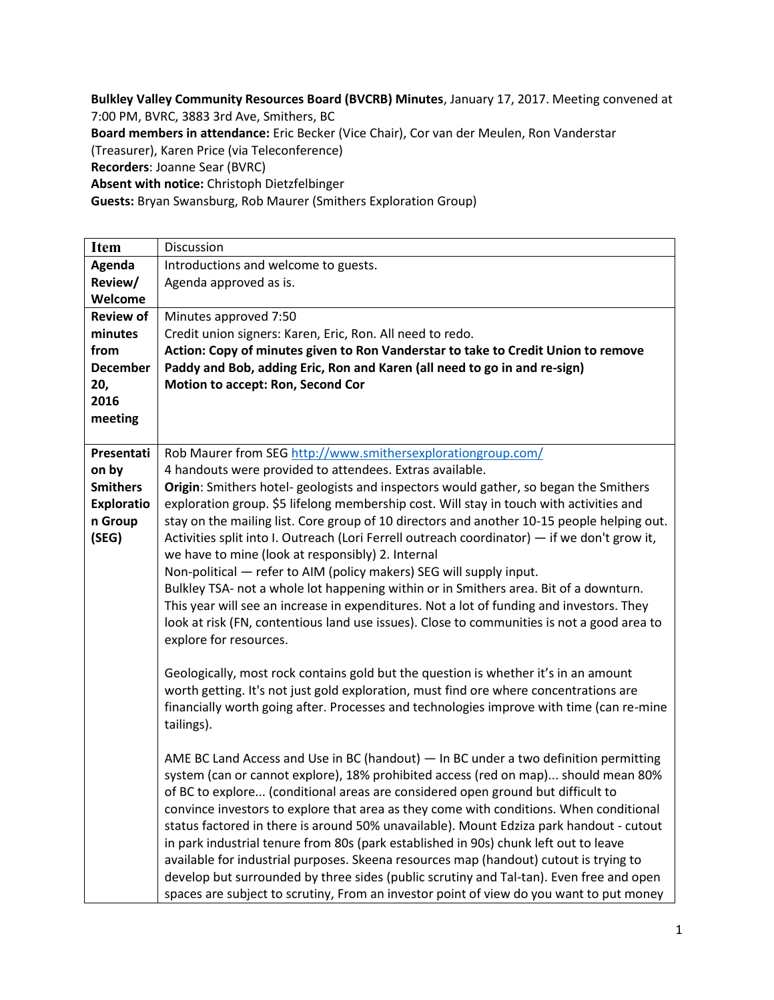**Bulkley Valley Community Resources Board (BVCRB) Minutes**, January 17, 2017. Meeting convened at 7:00 PM, BVRC, 3883 3rd Ave, Smithers, BC **Board members in attendance:** Eric Becker (Vice Chair), Cor van der Meulen, Ron Vanderstar (Treasurer), Karen Price (via Teleconference) **Recorders**: Joanne Sear (BVRC) **Absent with notice:** Christoph Dietzfelbinger **Guests:** Bryan Swansburg, Rob Maurer (Smithers Exploration Group)

| <b>Item</b>       | Discussion                                                                                   |
|-------------------|----------------------------------------------------------------------------------------------|
| Agenda            | Introductions and welcome to guests.                                                         |
| Review/           | Agenda approved as is.                                                                       |
| Welcome           |                                                                                              |
| <b>Review of</b>  | Minutes approved 7:50                                                                        |
| minutes           | Credit union signers: Karen, Eric, Ron. All need to redo.                                    |
| from              | Action: Copy of minutes given to Ron Vanderstar to take to Credit Union to remove            |
| <b>December</b>   | Paddy and Bob, adding Eric, Ron and Karen (all need to go in and re-sign)                    |
| 20,               | Motion to accept: Ron, Second Cor                                                            |
| 2016              |                                                                                              |
| meeting           |                                                                                              |
|                   |                                                                                              |
| Presentati        | Rob Maurer from SEG http://www.smithersexplorationgroup.com/                                 |
| on by             | 4 handouts were provided to attendees. Extras available.                                     |
| <b>Smithers</b>   | Origin: Smithers hotel-geologists and inspectors would gather, so began the Smithers         |
| <b>Exploratio</b> | exploration group. \$5 lifelong membership cost. Will stay in touch with activities and      |
| n Group           | stay on the mailing list. Core group of 10 directors and another 10-15 people helping out.   |
| (SEG)             | Activities split into I. Outreach (Lori Ferrell outreach coordinator) - if we don't grow it, |
|                   | we have to mine (look at responsibly) 2. Internal                                            |
|                   | Non-political - refer to AIM (policy makers) SEG will supply input.                          |
|                   | Bulkley TSA- not a whole lot happening within or in Smithers area. Bit of a downturn.        |
|                   | This year will see an increase in expenditures. Not a lot of funding and investors. They     |
|                   |                                                                                              |
|                   | look at risk (FN, contentious land use issues). Close to communities is not a good area to   |
|                   | explore for resources.                                                                       |
|                   |                                                                                              |
|                   | Geologically, most rock contains gold but the question is whether it's in an amount          |
|                   | worth getting. It's not just gold exploration, must find ore where concentrations are        |
|                   | financially worth going after. Processes and technologies improve with time (can re-mine     |
|                   | tailings).                                                                                   |
|                   |                                                                                              |
|                   | AME BC Land Access and Use in BC (handout) - In BC under a two definition permitting         |
|                   | system (can or cannot explore), 18% prohibited access (red on map) should mean 80%           |
|                   | of BC to explore (conditional areas are considered open ground but difficult to              |
|                   | convince investors to explore that area as they come with conditions. When conditional       |
|                   | status factored in there is around 50% unavailable). Mount Edziza park handout - cutout      |
|                   | in park industrial tenure from 80s (park established in 90s) chunk left out to leave         |
|                   | available for industrial purposes. Skeena resources map (handout) cutout is trying to        |
|                   | develop but surrounded by three sides (public scrutiny and Tal-tan). Even free and open      |
|                   | spaces are subject to scrutiny, From an investor point of view do you want to put money      |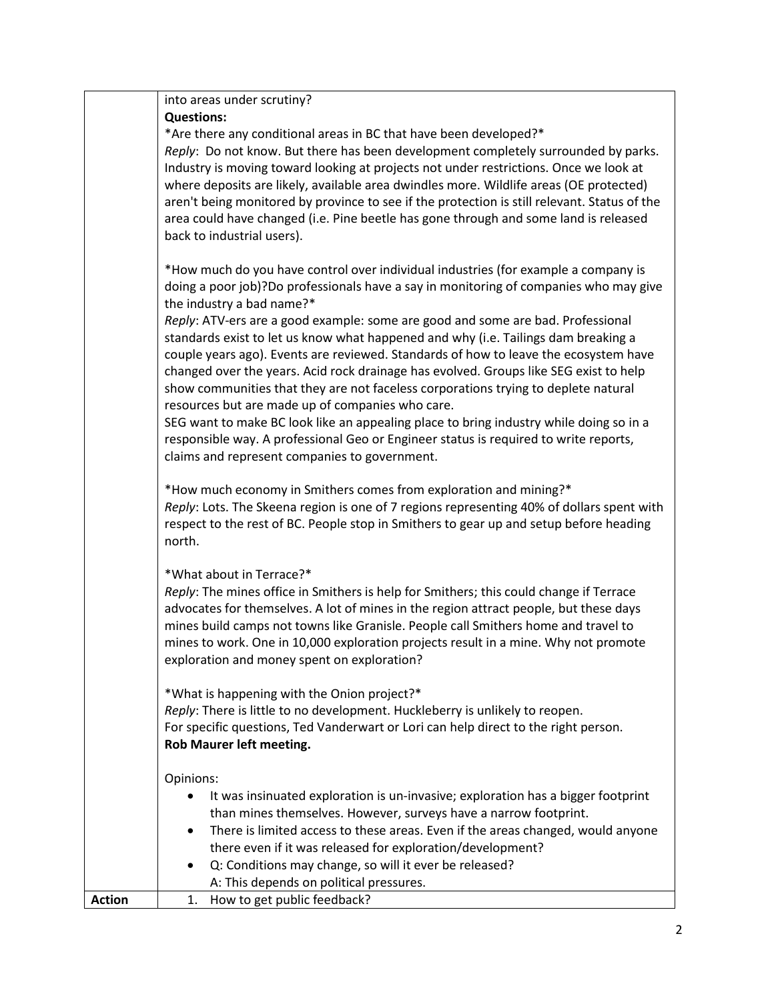|               | into areas under scrutiny?                                                                                                                                                    |
|---------------|-------------------------------------------------------------------------------------------------------------------------------------------------------------------------------|
|               | <b>Questions:</b><br>*Are there any conditional areas in BC that have been developed?*                                                                                        |
|               | Reply: Do not know. But there has been development completely surrounded by parks.                                                                                            |
|               | Industry is moving toward looking at projects not under restrictions. Once we look at                                                                                         |
|               | where deposits are likely, available area dwindles more. Wildlife areas (OE protected)                                                                                        |
|               | aren't being monitored by province to see if the protection is still relevant. Status of the                                                                                  |
|               | area could have changed (i.e. Pine beetle has gone through and some land is released                                                                                          |
|               | back to industrial users).                                                                                                                                                    |
|               | *How much do you have control over individual industries (for example a company is                                                                                            |
|               | doing a poor job)?Do professionals have a say in monitoring of companies who may give                                                                                         |
|               | the industry a bad name?*                                                                                                                                                     |
|               | Reply: ATV-ers are a good example: some are good and some are bad. Professional                                                                                               |
|               | standards exist to let us know what happened and why (i.e. Tailings dam breaking a                                                                                            |
|               | couple years ago). Events are reviewed. Standards of how to leave the ecosystem have<br>changed over the years. Acid rock drainage has evolved. Groups like SEG exist to help |
|               | show communities that they are not faceless corporations trying to deplete natural                                                                                            |
|               | resources but are made up of companies who care.                                                                                                                              |
|               | SEG want to make BC look like an appealing place to bring industry while doing so in a                                                                                        |
|               | responsible way. A professional Geo or Engineer status is required to write reports,                                                                                          |
|               | claims and represent companies to government.                                                                                                                                 |
|               | *How much economy in Smithers comes from exploration and mining?*                                                                                                             |
|               | Reply: Lots. The Skeena region is one of 7 regions representing 40% of dollars spent with                                                                                     |
|               | respect to the rest of BC. People stop in Smithers to gear up and setup before heading                                                                                        |
|               | north.                                                                                                                                                                        |
|               | *What about in Terrace?*                                                                                                                                                      |
|               | Reply: The mines office in Smithers is help for Smithers; this could change if Terrace                                                                                        |
|               | advocates for themselves. A lot of mines in the region attract people, but these days                                                                                         |
|               | mines build camps not towns like Granisle. People call Smithers home and travel to                                                                                            |
|               | mines to work. One in 10,000 exploration projects result in a mine. Why not promote                                                                                           |
|               | exploration and money spent on exploration?                                                                                                                                   |
|               | *What is happening with the Onion project?*                                                                                                                                   |
|               | Reply: There is little to no development. Huckleberry is unlikely to reopen.                                                                                                  |
|               | For specific questions, Ted Vanderwart or Lori can help direct to the right person.                                                                                           |
|               | Rob Maurer left meeting.                                                                                                                                                      |
|               | Opinions:                                                                                                                                                                     |
|               | It was insinuated exploration is un-invasive; exploration has a bigger footprint                                                                                              |
|               | than mines themselves. However, surveys have a narrow footprint.                                                                                                              |
|               | There is limited access to these areas. Even if the areas changed, would anyone<br>$\bullet$                                                                                  |
|               | there even if it was released for exploration/development?                                                                                                                    |
|               | Q: Conditions may change, so will it ever be released?<br>A: This depends on political pressures.                                                                             |
| <b>Action</b> | How to get public feedback?<br>1.                                                                                                                                             |
|               |                                                                                                                                                                               |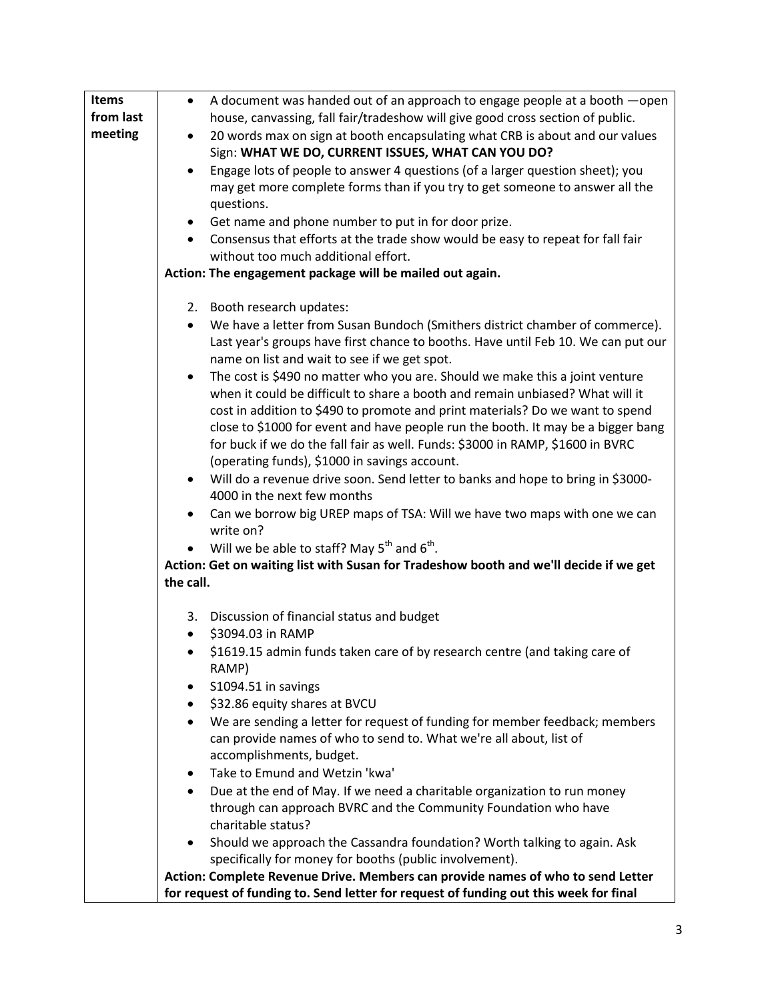| <b>Items</b> | A document was handed out of an approach to engage people at a booth - open<br>$\bullet$                                                                          |
|--------------|-------------------------------------------------------------------------------------------------------------------------------------------------------------------|
| from last    | house, canvassing, fall fair/tradeshow will give good cross section of public.                                                                                    |
| meeting      | 20 words max on sign at booth encapsulating what CRB is about and our values                                                                                      |
|              | Sign: WHAT WE DO, CURRENT ISSUES, WHAT CAN YOU DO?                                                                                                                |
|              | Engage lots of people to answer 4 questions (of a larger question sheet); you<br>$\bullet$                                                                        |
|              | may get more complete forms than if you try to get someone to answer all the                                                                                      |
|              | questions.                                                                                                                                                        |
|              | Get name and phone number to put in for door prize.                                                                                                               |
|              | Consensus that efforts at the trade show would be easy to repeat for fall fair                                                                                    |
|              | without too much additional effort.                                                                                                                               |
|              | Action: The engagement package will be mailed out again.                                                                                                          |
|              |                                                                                                                                                                   |
|              | 2. Booth research updates:                                                                                                                                        |
|              | We have a letter from Susan Bundoch (Smithers district chamber of commerce).                                                                                      |
|              | Last year's groups have first chance to booths. Have until Feb 10. We can put our                                                                                 |
|              | name on list and wait to see if we get spot.                                                                                                                      |
|              | The cost is \$490 no matter who you are. Should we make this a joint venture                                                                                      |
|              | when it could be difficult to share a booth and remain unbiased? What will it                                                                                     |
|              | cost in addition to \$490 to promote and print materials? Do we want to spend<br>close to \$1000 for event and have people run the booth. It may be a bigger bang |
|              | for buck if we do the fall fair as well. Funds: \$3000 in RAMP, \$1600 in BVRC                                                                                    |
|              | (operating funds), \$1000 in savings account.                                                                                                                     |
|              | Will do a revenue drive soon. Send letter to banks and hope to bring in \$3000-                                                                                   |
|              | 4000 in the next few months                                                                                                                                       |
|              | Can we borrow big UREP maps of TSA: Will we have two maps with one we can                                                                                         |
|              | write on?                                                                                                                                                         |
|              | Will we be able to staff? May $5^{th}$ and $6^{th}$ .                                                                                                             |
|              | Action: Get on waiting list with Susan for Tradeshow booth and we'll decide if we get                                                                             |
|              | the call.                                                                                                                                                         |
|              |                                                                                                                                                                   |
|              | 3. Discussion of financial status and budget                                                                                                                      |
|              | \$3094.03 in RAMP<br>$\bullet$                                                                                                                                    |
|              | \$1619.15 admin funds taken care of by research centre (and taking care of<br>RAMP)                                                                               |
|              | S1094.51 in savings                                                                                                                                               |
|              | \$32.86 equity shares at BVCU<br>٠                                                                                                                                |
|              | We are sending a letter for request of funding for member feedback; members<br>$\bullet$                                                                          |
|              | can provide names of who to send to. What we're all about, list of                                                                                                |
|              | accomplishments, budget.                                                                                                                                          |
|              | Take to Emund and Wetzin 'kwa'<br>٠                                                                                                                               |
|              | Due at the end of May. If we need a charitable organization to run money<br>$\bullet$                                                                             |
|              | through can approach BVRC and the Community Foundation who have<br>charitable status?                                                                             |
|              | Should we approach the Cassandra foundation? Worth talking to again. Ask<br>$\bullet$                                                                             |
|              | specifically for money for booths (public involvement).                                                                                                           |
|              | Action: Complete Revenue Drive. Members can provide names of who to send Letter                                                                                   |
|              | for request of funding to. Send letter for request of funding out this week for final                                                                             |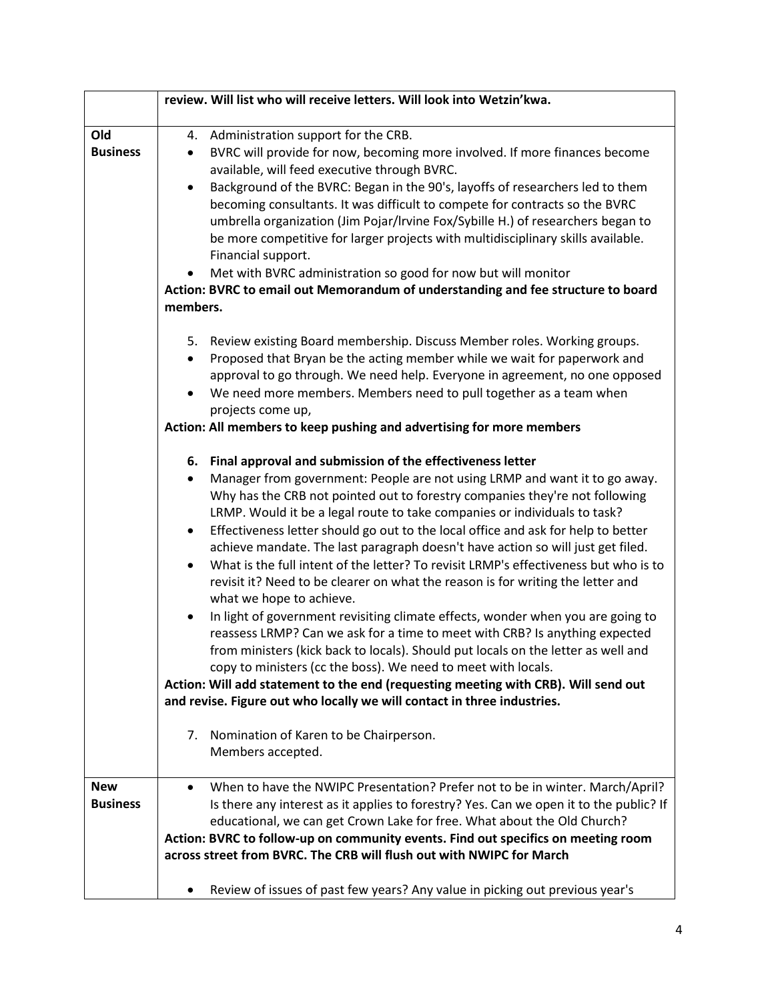|                 | review. Will list who will receive letters. Will look into Wetzin'kwa.                                                                                                                    |
|-----------------|-------------------------------------------------------------------------------------------------------------------------------------------------------------------------------------------|
| Old             | Administration support for the CRB.<br>4.                                                                                                                                                 |
| <b>Business</b> | BVRC will provide for now, becoming more involved. If more finances become<br>$\bullet$<br>available, will feed executive through BVRC.                                                   |
|                 | Background of the BVRC: Began in the 90's, layoffs of researchers led to them<br>$\bullet$<br>becoming consultants. It was difficult to compete for contracts so the BVRC                 |
|                 | umbrella organization (Jim Pojar/Irvine Fox/Sybille H.) of researchers began to<br>be more competitive for larger projects with multidisciplinary skills available.<br>Financial support. |
|                 | Met with BVRC administration so good for now but will monitor<br>٠                                                                                                                        |
|                 | Action: BVRC to email out Memorandum of understanding and fee structure to board                                                                                                          |
|                 | members.                                                                                                                                                                                  |
|                 |                                                                                                                                                                                           |
|                 | 5. Review existing Board membership. Discuss Member roles. Working groups.<br>Proposed that Bryan be the acting member while we wait for paperwork and                                    |
|                 | approval to go through. We need help. Everyone in agreement, no one opposed                                                                                                               |
|                 | We need more members. Members need to pull together as a team when                                                                                                                        |
|                 | projects come up,                                                                                                                                                                         |
|                 | Action: All members to keep pushing and advertising for more members                                                                                                                      |
|                 |                                                                                                                                                                                           |
|                 | 6. Final approval and submission of the effectiveness letter<br>Manager from government: People are not using LRMP and want it to go away.<br>$\bullet$                                   |
|                 | Why has the CRB not pointed out to forestry companies they're not following                                                                                                               |
|                 | LRMP. Would it be a legal route to take companies or individuals to task?                                                                                                                 |
|                 | Effectiveness letter should go out to the local office and ask for help to better<br>$\bullet$                                                                                            |
|                 | achieve mandate. The last paragraph doesn't have action so will just get filed.                                                                                                           |
|                 | What is the full intent of the letter? To revisit LRMP's effectiveness but who is to                                                                                                      |
|                 | revisit it? Need to be clearer on what the reason is for writing the letter and                                                                                                           |
|                 | what we hope to achieve.<br>In light of government revisiting climate effects, wonder when you are going to                                                                               |
|                 | reassess LRMP? Can we ask for a time to meet with CRB? Is anything expected                                                                                                               |
|                 | from ministers (kick back to locals). Should put locals on the letter as well and                                                                                                         |
|                 | copy to ministers (cc the boss). We need to meet with locals.                                                                                                                             |
|                 | Action: Will add statement to the end (requesting meeting with CRB). Will send out                                                                                                        |
|                 | and revise. Figure out who locally we will contact in three industries.                                                                                                                   |
|                 | Nomination of Karen to be Chairperson.<br>7.                                                                                                                                              |
|                 | Members accepted.                                                                                                                                                                         |
|                 |                                                                                                                                                                                           |
| <b>New</b>      | When to have the NWIPC Presentation? Prefer not to be in winter. March/April?<br>$\bullet$                                                                                                |
| <b>Business</b> | Is there any interest as it applies to forestry? Yes. Can we open it to the public? If                                                                                                    |
|                 | educational, we can get Crown Lake for free. What about the Old Church?                                                                                                                   |
|                 | Action: BVRC to follow-up on community events. Find out specifics on meeting room<br>across street from BVRC. The CRB will flush out with NWIPC for March                                 |
|                 |                                                                                                                                                                                           |
|                 | Review of issues of past few years? Any value in picking out previous year's<br>$\bullet$                                                                                                 |